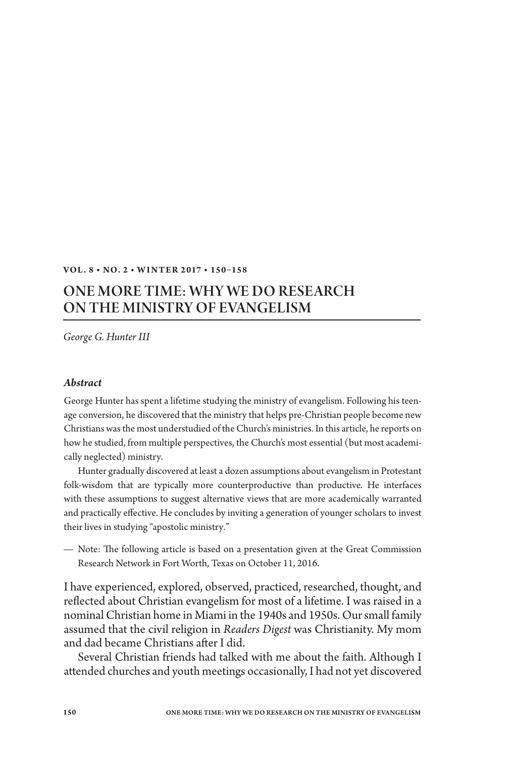## **Vol . 8 • No. 2 • W I N T ER 2 017 • 150 –158**

## One More Time: WHY We Do Research on the Ministry of Evangelism

*George G. Hunter III*

## *Abstract*

George Hunter has spent a lifetime studying the ministry of evangelism. Following his teenage conversion, he discovered that the ministry that helps pre-Christian people become new Christians was the most understudied of the Church's ministries. In this article, he reports on how he studied, from multiple perspectives, the Church's most essential (but most academically neglected) ministry.

Hunter gradually discovered at least a dozen assumptions about evangelism in Protestant folk-wisdom that are typically more counterproductive than productive. He interfaces with these assumptions to suggest alternative views that are more academically warranted and practically effective. He concludes by inviting a generation of younger scholars to invest their lives in studying "apostolic ministry."

Note: The following article is based on a presentation given at the Great Commission Research Network in Fort Worth, Texas on October 11, 2016.

I have experienced, explored, observed, practiced, researched, thought, and reflected about Christian evangelism for most of a lifetime. I was raised in a nominal Christian home in Miami in the 1940s and 1950s. Our small family assumed that the civil religion in *Readers Digest* was Christianity. My mom and dad became Christians after I did.

Several Christian friends had talked with me about the faith. Although I attended churches and youth meetings occasionally, I had not yet discovered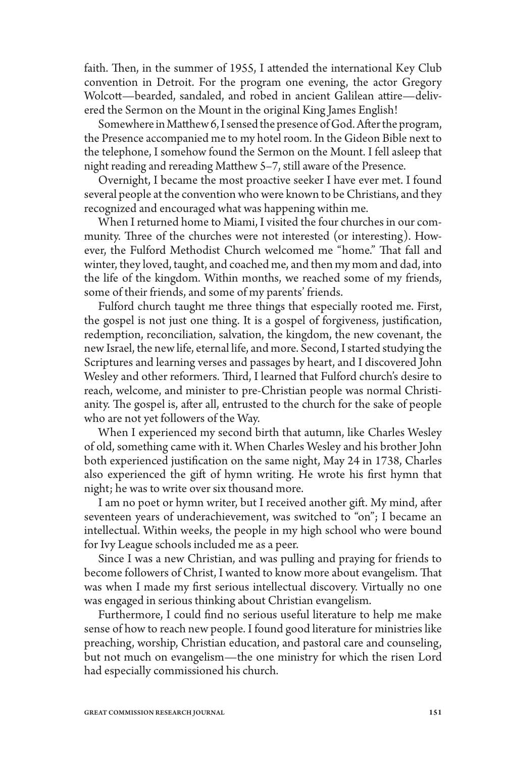faith. Then, in the summer of 1955, I attended the international Key Club convention in Detroit. For the program one evening, the actor Gregory Wolcott—bearded, sandaled, and robed in ancient Galilean attire—delivered the Sermon on the Mount in the original King James English!

Somewhere in Matthew 6, I sensed the presence of God. After the program, the Presence accompanied me to my hotel room. In the Gideon Bible next to the telephone, I somehow found the Sermon on the Mount. I fell asleep that night reading and rereading Matthew 5–7, still aware of the Presence.

Overnight, I became the most proactive seeker I have ever met. I found several people at the convention who were known to be Christians, and they recognized and encouraged what was happening within me.

When I returned home to Miami, I visited the four churches in our community. Three of the churches were not interested (or interesting). However, the Fulford Methodist Church welcomed me "home." That fall and winter, they loved, taught, and coached me, and then my mom and dad, into the life of the kingdom. Within months, we reached some of my friends, some of their friends, and some of my parents' friends.

Fulford church taught me three things that especially rooted me. First, the gospel is not just one thing. It is a gospel of forgiveness, justification, redemption, reconciliation, salvation, the kingdom, the new covenant, the new Israel, the new life, eternal life, and more. Second, I started studying the Scriptures and learning verses and passages by heart, and I discovered John Wesley and other reformers. Third, I learned that Fulford church's desire to reach, welcome, and minister to pre-Christian people was normal Christianity. The gospel is, after all, entrusted to the church for the sake of people who are not yet followers of the Way.

When I experienced my second birth that autumn, like Charles Wesley of old, something came with it. When Charles Wesley and his brother John both experienced justification on the same night, May 24 in 1738, Charles also experienced the gift of hymn writing. He wrote his first hymn that night; he was to write over six thousand more.

I am no poet or hymn writer, but I received another gift. My mind, after seventeen years of underachievement, was switched to "on"; I became an intellectual. Within weeks, the people in my high school who were bound for Ivy League schools included me as a peer.

Since I was a new Christian, and was pulling and praying for friends to become followers of Christ, I wanted to know more about evangelism. That was when I made my first serious intellectual discovery. Virtually no one was engaged in serious thinking about Christian evangelism.

Furthermore, I could find no serious useful literature to help me make sense of how to reach new people. I found good literature for ministries like preaching, worship, Christian education, and pastoral care and counseling, but not much on evangelism—the one ministry for which the risen Lord had especially commissioned his church.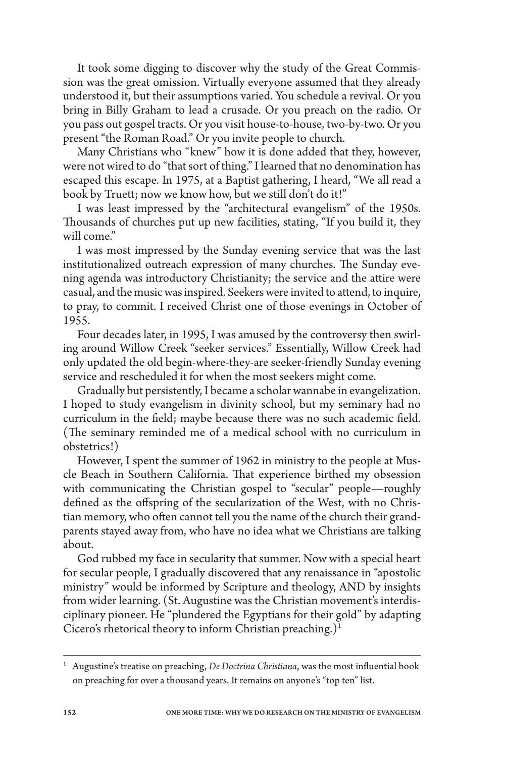It took some digging to discover why the study of the Great Commission was the great omission. Virtually everyone assumed that they already understood it, but their assumptions varied. You schedule a revival. Or you bring in Billy Graham to lead a crusade. Or you preach on the radio. Or you pass out gospel tracts. Or you visit house-to-house, two-by-two. Or you present "the Roman Road." Or you invite people to church.

Many Christians who "knew" how it is done added that they, however, were not wired to do "that sort of thing." I learned that no denomination has escaped this escape. In 1975, at a Baptist gathering, I heard, "We all read a book by Truett; now we know how, but we still don't do it!"

I was least impressed by the "architectural evangelism" of the 1950s. Thousands of churches put up new facilities, stating, "If you build it, they will come."

I was most impressed by the Sunday evening service that was the last institutionalized outreach expression of many churches. The Sunday evening agenda was introductory Christianity; the service and the attire were casual, and the music was inspired. Seekers were invited to attend, to inquire, to pray, to commit. I received Christ one of those evenings in October of 1955.

Four decades later, in 1995, I was amused by the controversy then swirling around Willow Creek "seeker services." Essentially, Willow Creek had only updated the old begin-where-they-are seeker-friendly Sunday evening service and rescheduled it for when the most seekers might come.

Gradually but persistently, I became a scholar wannabe in evangelization. I hoped to study evangelism in divinity school, but my seminary had no curriculum in the field; maybe because there was no such academic field. (The seminary reminded me of a medical school with no curriculum in obstetrics!)

However, I spent the summer of 1962 in ministry to the people at Muscle Beach in Southern California. That experience birthed my obsession with communicating the Christian gospel to "secular" people—roughly defined as the offspring of the secularization of the West, with no Christian memory, who often cannot tell you the name of the church their grandparents stayed away from, who have no idea what we Christians are talking about.

God rubbed my face in secularity that summer. Now with a special heart for secular people, I gradually discovered that any renaissance in "apostolic ministry" would be informed by Scripture and theology, AND by insights from wider learning. (St. Augustine was the Christian movement's interdisciplinary pioneer. He "plundered the Egyptians for their gold" by adapting Cicero's rhetorical theory to inform Christian preaching.)<sup>1</sup>

<sup>1</sup> Augustine's treatise on preaching, *De Doctrina Christiana*, was the most influential book on preaching for over a thousand years. It remains on anyone's "top ten" list.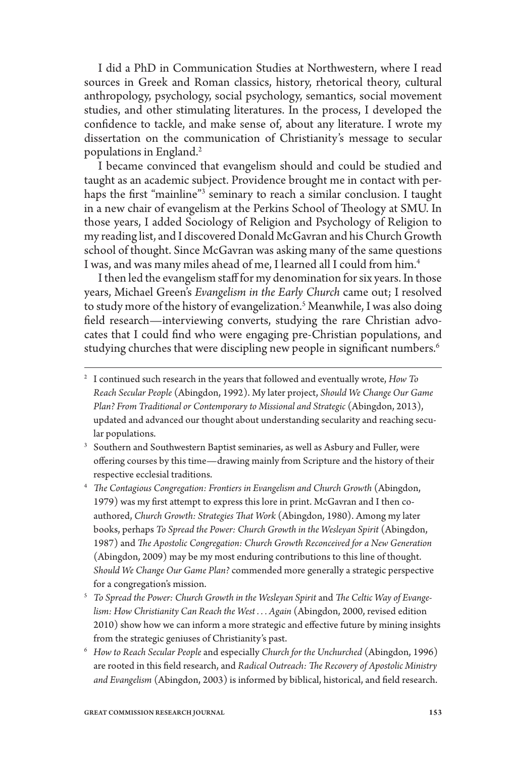I did a PhD in Communication Studies at Northwestern, where I read sources in Greek and Roman classics, history, rhetorical theory, cultural anthropology, psychology, social psychology, semantics, social movement studies, and other stimulating literatures. In the process, I developed the confidence to tackle, and make sense of, about any literature. I wrote my dissertation on the communication of Christianity's message to secular populations in England.<sup>2</sup>

I became convinced that evangelism should and could be studied and taught as an academic subject. Providence brought me in contact with perhaps the first "mainline"<sup>3</sup> seminary to reach a similar conclusion. I taught in a new chair of evangelism at the Perkins School of Theology at SMU. In those years, I added Sociology of Religion and Psychology of Religion to my reading list, and I discovered Donald McGavran and his Church Growth school of thought. Since McGavran was asking many of the same questions I was, and was many miles ahead of me, I learned all I could from him.4

I then led the evangelism staff for my denomination for six years. In those years, Michael Green's *Evangelism in the Early Church* came out; I resolved to study more of the history of evangelization.<sup>5</sup> Meanwhile, I was also doing field research—interviewing converts, studying the rare Christian advocates that I could find who were engaging pre-Christian populations, and studying churches that were discipling new people in significant numbers.<sup>6</sup>

<sup>2</sup> I continued such research in the years that followed and eventually wrote, *How To Reach Secular People* (Abingdon, 1992). My later project, *Should We Change Our Game Plan? From Traditional or Contemporary to Missional and Strategic* (Abingdon, 2013), updated and advanced our thought about understanding secularity and reaching secular populations.

<sup>&</sup>lt;sup>3</sup> Southern and Southwestern Baptist seminaries, as well as Asbury and Fuller, were offering courses by this time—drawing mainly from Scripture and the history of their respective ecclesial traditions.

<sup>&</sup>lt;sup>4</sup> The Contagious Congregation: Frontiers in Evangelism and Church Growth (Abingdon, 1979) was my first attempt to express this lore in print. McGavran and I then coauthored, *Church Growth: Strategies That Work* (Abingdon, 1980). Among my later books, perhaps *To Spread the Power: Church Growth in the Wesleyan Spirit* (Abingdon, 1987) and *The Apostolic Congregation: Church Growth Reconceived for a New Generation* (Abingdon, 2009) may be my most enduring contributions to this line of thought. *Should We Change Our Game Plan?* commended more generally a strategic perspective for a congregation's mission.

<sup>5</sup> *To Spread the Power: Church Growth in the Wesleyan Spirit* and *The Celtic Way of Evangelism: How Christianity Can Reach the West . . . Again* (Abingdon, 2000, revised edition 2010) show how we can inform a more strategic and effective future by mining insights from the strategic geniuses of Christianity's past.

<sup>6</sup> *How to Reach Secular People* and especially *Church for the Unchurched* (Abingdon, 1996) are rooted in this field research, and *Radical Outreach: The Recovery of Apostolic Ministry and Evangelism* (Abingdon, 2003) is informed by biblical, historical, and field research.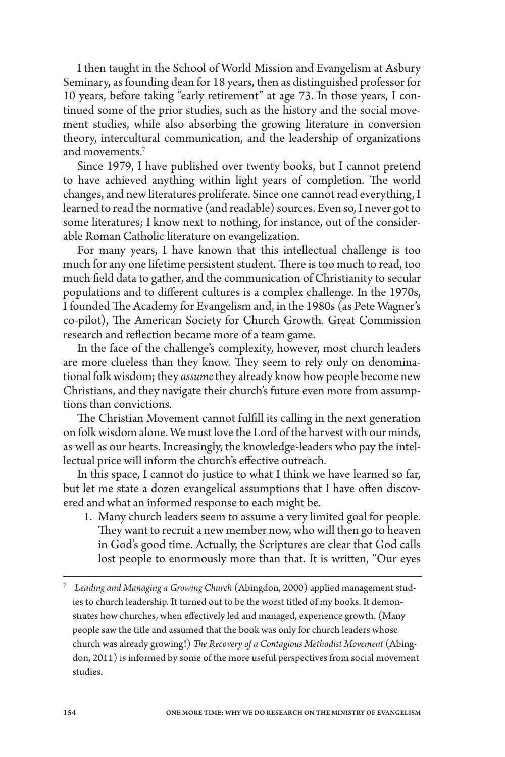I then taught in the School of World Mission and Evangelism at Asbury Seminary, as founding dean for 18 years, then as distinguished professor for 10 years, before taking "early retirement" at age 73. In those years, I continued some of the prior studies, such as the history and the social movement studies, while also absorbing the growing literature in conversion theory, intercultural communication, and the leadership of organizations and movements.<sup>7</sup>

Since 1979, I have published over twenty books, but I cannot pretend to have achieved anything within light years of completion. The world changes, and new literatures proliferate. Since one cannot read everything, I learned to read the normative (and readable) sources. Even so, I never got to some literatures; I know next to nothing, for instance, out of the considerable Roman Catholic literature on evangelization.

For many years, I have known that this intellectual challenge is too much for any one lifetime persistent student. There is too much to read, too much field data to gather, and the communication of Christianity to secular populations and to different cultures is a complex challenge. In the 1970s, I founded The Academy for Evangelism and, in the 1980s (as Pete Wagner's co-pilot), The American Society for Church Growth. Great Commission research and reflection became more of a team game.

In the face of the challenge's complexity, however, most church leaders are more clueless than they know. They seem to rely only on denominational folk wisdom; they *assume* they already know how people become new Christians, and they navigate their church's future even more from assumptions than convictions.

The Christian Movement cannot fulfill its calling in the next generation on folk wisdom alone. We must love the Lord of the harvest with our minds, as well as our hearts. Increasingly, the knowledge-leaders who pay the intellectual price will inform the church's effective outreach.

In this space, I cannot do justice to what I think we have learned so far, but let me state a dozen evangelical assumptions that I have often discovered and what an informed response to each might be.

- 1. Many church leaders seem to assume a very limited goal for people. They want to recruit a new member now, who will then go to heaven in God's good time. Actually, the Scriptures are clear that God calls lost people to enormously more than that. It is written, "Our eyes
- <sup>7</sup> *Leading and Managing a Growing Church* (Abingdon, 2000) applied management studies to church leadership. It turned out to be the worst titled of my books. It demonstrates how churches, when effectively led and managed, experience growth. (Many people saw the title and assumed that the book was only for church leaders whose church was already growing!) *The Recovery of a Contagious Methodist Movement* (Abingdon, 2011) is informed by some of the more useful perspectives from social movement studies.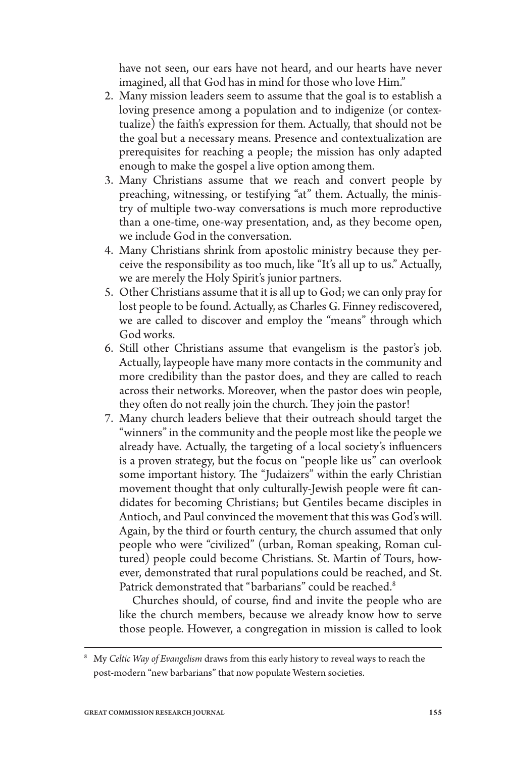have not seen, our ears have not heard, and our hearts have never imagined, all that God has in mind for those who love Him."

- 2. Many mission leaders seem to assume that the goal is to establish a loving presence among a population and to indigenize (or contextualize) the faith's expression for them. Actually, that should not be the goal but a necessary means. Presence and contextualization are prerequisites for reaching a people; the mission has only adapted enough to make the gospel a live option among them.
- 3. Many Christians assume that we reach and convert people by preaching, witnessing, or testifying "at" them. Actually, the ministry of multiple two-way conversations is much more reproductive than a one-time, one-way presentation, and, as they become open, we include God in the conversation.
- 4. Many Christians shrink from apostolic ministry because they perceive the responsibility as too much, like "It's all up to us." Actually, we are merely the Holy Spirit's junior partners.
- 5. Other Christians assume that it is all up to God; we can only pray for lost people to be found. Actually, as Charles G. Finney rediscovered, we are called to discover and employ the "means" through which God works.
- 6. Still other Christians assume that evangelism is the pastor's job. Actually, laypeople have many more contacts in the community and more credibility than the pastor does, and they are called to reach across their networks. Moreover, when the pastor does win people, they often do not really join the church. They join the pastor!
- 7. Many church leaders believe that their outreach should target the "winners" in the community and the people most like the people we already have. Actually, the targeting of a local society's influencers is a proven strategy, but the focus on "people like us" can overlook some important history. The "Judaizers" within the early Christian movement thought that only culturally-Jewish people were fit candidates for becoming Christians; but Gentiles became disciples in Antioch, and Paul convinced the movement that this was God's will. Again, by the third or fourth century, the church assumed that only people who were "civilized" (urban, Roman speaking, Roman cultured) people could become Christians. St. Martin of Tours, however, demonstrated that rural populations could be reached, and St. Patrick demonstrated that "barbarians" could be reached.<sup>8</sup>

 Churches should, of course, find and invite the people who are like the church members, because we already know how to serve those people. However, a congregation in mission is called to look

<sup>8</sup> My *Celtic Way of Evangelism* draws from this early history to reveal ways to reach the post-modern "new barbarians" that now populate Western societies.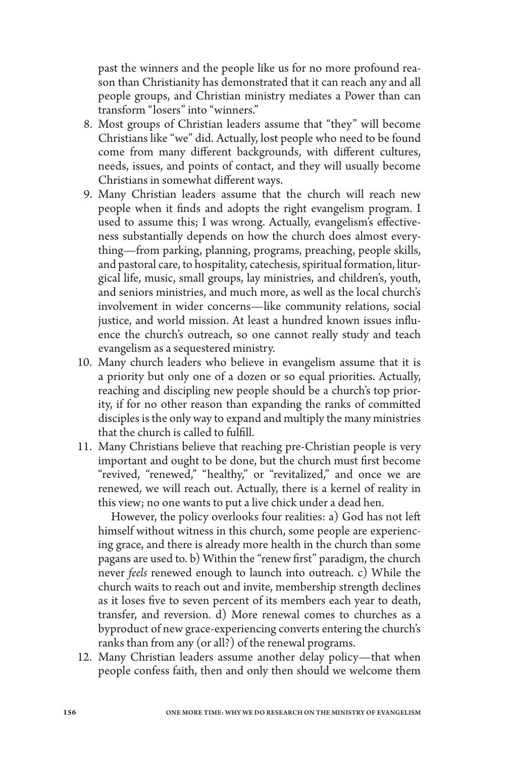past the winners and the people like us for no more profound reason than Christianity has demonstrated that it can reach any and all people groups, and Christian ministry mediates a Power than can transform "losers" into "winners."

- 8. Most groups of Christian leaders assume that "they" will become Christians like "we" did. Actually, lost people who need to be found come from many different backgrounds, with different cultures, needs, issues, and points of contact, and they will usually become Christians in somewhat different ways.
- 9. Many Christian leaders assume that the church will reach new people when it finds and adopts the right evangelism program. I used to assume this; I was wrong. Actually, evangelism's effectiveness substantially depends on how the church does almost everything—from parking, planning, programs, preaching, people skills, and pastoral care, to hospitality, catechesis, spiritual formation, liturgical life, music, small groups, lay ministries, and children's, youth, and seniors ministries, and much more, as well as the local church's involvement in wider concerns—like community relations, social justice, and world mission. At least a hundred known issues influence the church's outreach, so one cannot really study and teach evangelism as a sequestered ministry.
- 10. Many church leaders who believe in evangelism assume that it is a priority but only one of a dozen or so equal priorities. Actually, reaching and discipling new people should be a church's top priority, if for no other reason than expanding the ranks of committed disciples is the only way to expand and multiply the many ministries that the church is called to fulfill.
- 11. Many Christians believe that reaching pre-Christian people is very important and ought to be done, but the church must first become "revived, "renewed," "healthy," or "revitalized," and once we are renewed, we will reach out. Actually, there is a kernel of reality in this view; no one wants to put a live chick under a dead hen.

 However, the policy overlooks four realities: a) God has not left himself without witness in this church, some people are experiencing grace, and there is already more health in the church than some pagans are used to. b) Within the "renew first" paradigm, the church never *feels* renewed enough to launch into outreach. c) While the church waits to reach out and invite, membership strength declines as it loses five to seven percent of its members each year to death, transfer, and reversion. d) More renewal comes to churches as a byproduct of new grace-experiencing converts entering the church's ranks than from any (or all?) of the renewal programs.

12. Many Christian leaders assume another delay policy—that when people confess faith, then and only then should we welcome them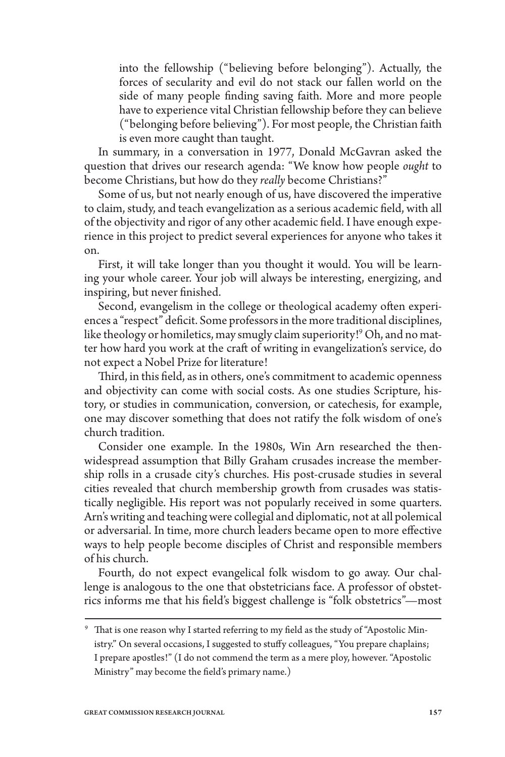into the fellowship ("believing before belonging"). Actually, the forces of secularity and evil do not stack our fallen world on the side of many people finding saving faith. More and more people have to experience vital Christian fellowship before they can believe ("belonging before believing"). For most people, the Christian faith is even more caught than taught.

In summary, in a conversation in 1977, Donald McGavran asked the question that drives our research agenda: "We know how people *ought* to become Christians, but how do they *really* become Christians?"

Some of us, but not nearly enough of us, have discovered the imperative to claim, study, and teach evangelization as a serious academic field, with all of the objectivity and rigor of any other academic field. I have enough experience in this project to predict several experiences for anyone who takes it on.

First, it will take longer than you thought it would. You will be learning your whole career. Your job will always be interesting, energizing, and inspiring, but never finished.

Second, evangelism in the college or theological academy often experiences a "respect" deficit. Some professors in the more traditional disciplines, like theology or homiletics, may smugly claim superiority!9 Oh, and no matter how hard you work at the craft of writing in evangelization's service, do not expect a Nobel Prize for literature!

Third, in this field, as in others, one's commitment to academic openness and objectivity can come with social costs. As one studies Scripture, history, or studies in communication, conversion, or catechesis, for example, one may discover something that does not ratify the folk wisdom of one's church tradition.

Consider one example. In the 1980s, Win Arn researched the thenwidespread assumption that Billy Graham crusades increase the membership rolls in a crusade city's churches. His post-crusade studies in several cities revealed that church membership growth from crusades was statistically negligible. His report was not popularly received in some quarters. Arn's writing and teaching were collegial and diplomatic, not at all polemical or adversarial. In time, more church leaders became open to more effective ways to help people become disciples of Christ and responsible members of his church.

Fourth, do not expect evangelical folk wisdom to go away. Our challenge is analogous to the one that obstetricians face. A professor of obstetrics informs me that his field's biggest challenge is "folk obstetrics"—most

<sup>&</sup>lt;sup>9</sup> That is one reason why I started referring to my field as the study of "Apostolic Ministry." On several occasions, I suggested to stuffy colleagues, "You prepare chaplains; I prepare apostles!" (I do not commend the term as a mere ploy, however. "Apostolic Ministry" may become the field's primary name.)